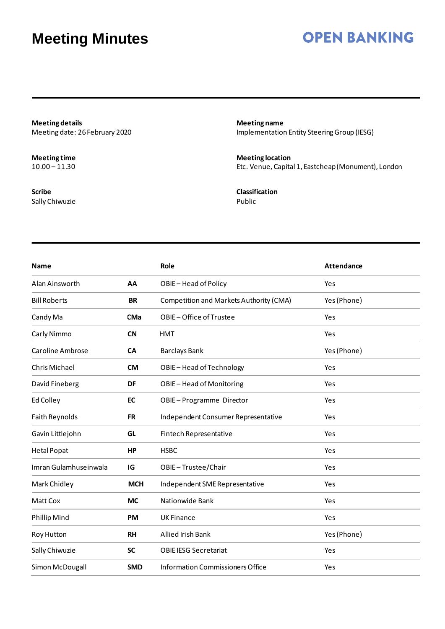### **OPEN BANKING**

**Meeting details** Meeting date: 26 February 2020

**Meeting time**  $10.00 - 11.30$ 

**Scribe** Sally Chiwuzie

**Meeting name** Implementation Entity Steering Group (IESG)

**Meeting location** Etc. Venue, Capital 1, Eastcheap(Monument), London

**Classification** Public

| <b>Name</b>             |            | Role                                    | <b>Attendance</b> |
|-------------------------|------------|-----------------------------------------|-------------------|
| Alan Ainsworth          | AA         | OBIE-Head of Policy                     | Yes               |
| <b>Bill Roberts</b>     | <b>BR</b>  | Competition and Markets Authority (CMA) | Yes (Phone)       |
| Candy Ma                | <b>CMa</b> | OBIE-Office of Trustee                  | Yes               |
| Carly Nimmo             | <b>CN</b>  | <b>HMT</b>                              | Yes               |
| <b>Caroline Ambrose</b> | <b>CA</b>  | <b>Barclays Bank</b>                    | Yes (Phone)       |
| Chris Michael           | <b>CM</b>  | OBIE-Head of Technology                 | Yes               |
| David Fineberg          | <b>DF</b>  | OBIE-Head of Monitoring                 | Yes               |
| Ed Colley               | EC         | OBIE-Programme Director                 | Yes               |
| Faith Reynolds          | <b>FR</b>  | Independent Consumer Representative     | Yes               |
| Gavin Littlejohn        | GL         | Fintech Representative                  | Yes               |
| <b>Hetal Popat</b>      | HP         | <b>HSBC</b>                             | Yes               |
| Imran Gulamhuseinwala   | IG         | OBIE-Trustee/Chair                      | Yes               |
| Mark Chidley            | <b>MCH</b> | Independent SME Representative          | Yes               |
| Matt Cox                | <b>MC</b>  | Nationwide Bank                         | Yes               |
| <b>Phillip Mind</b>     | PM         | <b>UK Finance</b>                       | Yes               |
| Roy Hutton              | <b>RH</b>  | Allied Irish Bank                       | Yes (Phone)       |
| Sally Chiwuzie          | <b>SC</b>  | <b>OBIE IESG Secretariat</b>            | Yes               |
| Simon McDougall         | <b>SMD</b> | Information Commissioners Office        | Yes               |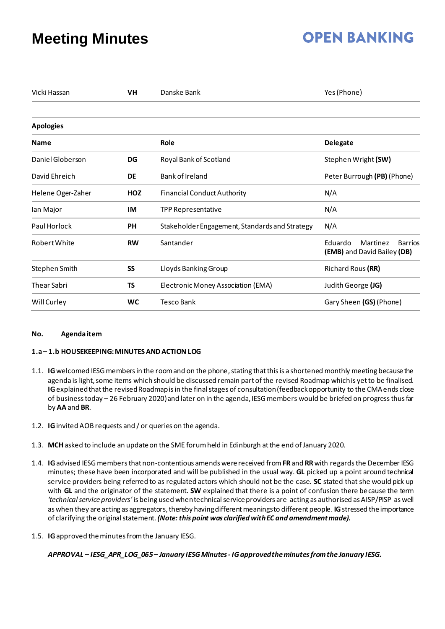## **OPEN BANKING**

| Vicki Hassan       | <b>VH</b> | Danske Bank                                    | Yes (Phone)                                                          |  |  |
|--------------------|-----------|------------------------------------------------|----------------------------------------------------------------------|--|--|
| <b>Apologies</b>   |           |                                                |                                                                      |  |  |
| <b>Name</b>        |           | Role                                           | <b>Delegate</b>                                                      |  |  |
| Daniel Globerson   | DG        | Royal Bank of Scotland                         | Stephen Wright (SW)                                                  |  |  |
| David Ehreich      | <b>DE</b> | Bank of Ireland                                | Peter Burrough (PB) (Phone)                                          |  |  |
| Helene Oger-Zaher  | HOZ       | <b>Financial Conduct Authority</b>             | N/A                                                                  |  |  |
| lan Major          | IM        | <b>TPP Representative</b>                      | N/A                                                                  |  |  |
| Paul Horlock       | PH        | Stakeholder Engagement, Standards and Strategy | N/A                                                                  |  |  |
| Robert White       | <b>RW</b> | Santander                                      | Martinez<br>Eduardo<br><b>Barrios</b><br>(EMB) and David Bailey (DB) |  |  |
| Stephen Smith      | SS        | Lloyds Banking Group                           | Richard Rous (RR)                                                    |  |  |
| <b>Thear Sabri</b> | <b>TS</b> | Electronic Money Association (EMA)             | Judith George (JG)                                                   |  |  |
| Will Curley        | WC        | <b>Tesco Bank</b>                              | Gary Sheen (GS) (Phone)                                              |  |  |

### **No. Agenda item**

### **1.a– 1.b HOUSEKEEPING: MINUTES AND ACTION LOG**

- 1.1. **IG**welcomed IESG members in the room and on the phone, stating that this is a shortened monthly meeting becausethe agenda is light, some items which should be discussed remain part of the revised Roadmap whichis yet to be finalised. **IG**explainedthat the revised Roadmap is in the final stages of consultation (feedback opportunity to the CMA ends close of business today – 26 February 2020) and later on in the agenda, IESG members would be briefed on progressthus far by **AA** and **BR**.
- 1.2. **IG**invited AOB requests and / or queries on the agenda.
- 1.3. **MCH**asked to include an update on the SME forum held in Edinburgh at the end of January 2020.
- 1.4. **IG**advised IESG members that non-contentious amends were received from **FR**and **RR**with regardsthe December IESG minutes; these have been incorporated and will be published in the usual way. **GL** picked up a point around technical service providers being referred to as regulated actors which should not be the case. **SC** stated that she would pick up with **GL** and the originator of the statement. **SW** explained that there is a point of confusion there because the term *'technical service providers'* is being used when technical service providers are acting as authorised as AISP/PISP as well as when they are acting as aggregators, thereby having different meanings to different people. **IG**stressed the importance of clarifying the original statement. *(Note: this point was clarified with EC and amendment made).*
- 1.5. **IG**approved the minutes from the January IESG.

*APPROVAL – IESG\_APR\_LOG\_065– January IESG Minutes - IG approved the minutes from the January IESG.*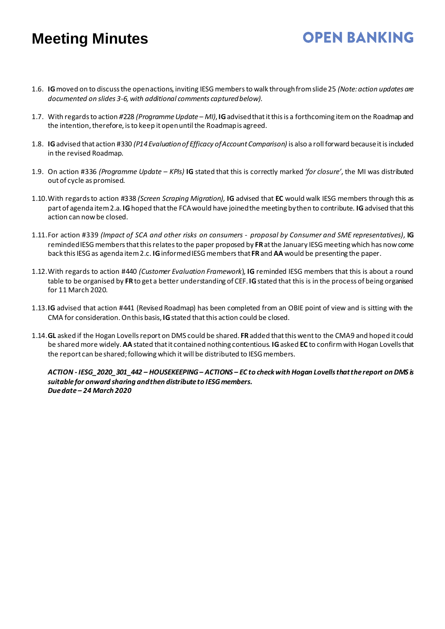1.6. **IG**moved on to discuss the open actions, inviting IESG membersto walk through from slide 25 *(Note:action updates are documented on slides 3-6, with additional comments captured below).*

**OPEN BANKING** 

- 1.7. With regardsto action *#*228 *(Programme Update – MI)*, **IG**advised that it this is a forthcoming item on the Roadmap and the intention, therefore, isto keep it open until the Roadmap is agreed.
- 1.8. **IG**advised that action #330 *(P14 Evaluation of Efficacy of Account Comparison)* is also a roll forward because it isincluded in the revised Roadmap.
- 1.9. On action #336 *(Programme Update – KPIs)* **IG** stated that this is correctly marked *'for closure'*, the MI was distributed out of cycle as promised.
- 1.10.With regards to action #338 *(Screen Scraping Migration),* **IG** advised that **EC** would walk IESG members through this as part of agenda item 2.a. **IG**hoped that the FCA would have joined the meeting by then to contribute. **IG**advised that this action can now be closed.
- 1.11.For action #339 *(Impact of SCA and other risks on consumers - proposal by Consumer and SME representatives),* **IG** reminded IESG members that this relates to the paper proposed by **FR**at the January IESG meeting which has now come back this IESG as agenda item 2.c. **IG**informed IESG membersthat **FR**and **AA** would be presenting the paper.
- 1.12.With regards to action #440 *(Customer Evaluation Framework*), **IG** reminded IESG members that this is about a round table to be organised by **FR**to get a better understanding of CEF.**IG**stated that this is in the process of being organised for 11 March 2020.
- 1.13.**IG** advised that action #441 (Revised Roadmap) has been completed from an OBIE point of view and is sitting with the CMA for consideration. On this basis, **IG**stated that this action could be closed.
- 1.14.**GL** asked if the Hogan Lovells report on DMS could be shared. **FR**added that this went to the CMA9 and hoped it could be shared more widely. **AA** stated that it contained nothing contentious. **IG**asked **EC** to confirmwith Hogan Lovells that the report can be shared; following which it will be distributed to IESG members.

*ACTION - IESG\_2020\_301\_442 – HOUSEKEEPING – ACTIONS – EC to check with Hogan Lovells that the report on DMS is suitable for onward sharing and then distribute to IESG members. Due date – 24 March 2020*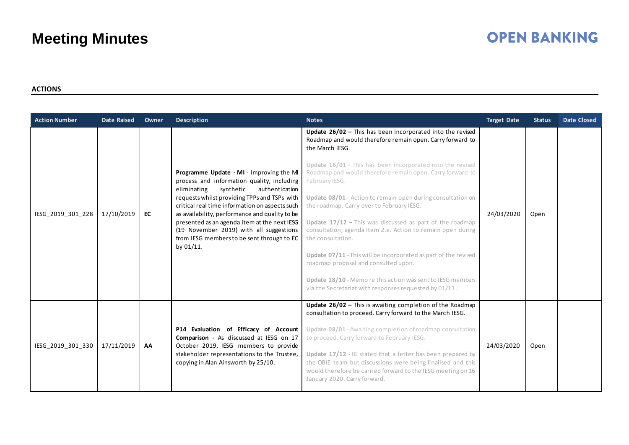# **OPEN BANKING**

### **ACTIONS**

| <b>Action Number</b> | <b>Date Raised</b> | Owner | <b>Description</b>                                                                                                                                                                                                                                                                                                                                                                                                                             | <b>Notes</b>                                                                                                                                                                                                                                                                                                                                                                                                                                                                                                                                                                                                                                                                                                                                                                              | <b>Target Date</b> | <b>Status</b> | <b>Date Closed</b> |
|----------------------|--------------------|-------|------------------------------------------------------------------------------------------------------------------------------------------------------------------------------------------------------------------------------------------------------------------------------------------------------------------------------------------------------------------------------------------------------------------------------------------------|-------------------------------------------------------------------------------------------------------------------------------------------------------------------------------------------------------------------------------------------------------------------------------------------------------------------------------------------------------------------------------------------------------------------------------------------------------------------------------------------------------------------------------------------------------------------------------------------------------------------------------------------------------------------------------------------------------------------------------------------------------------------------------------------|--------------------|---------------|--------------------|
| IESG_2019_301_228    | 17/10/2019         | EC    | Programme Update - MI - Improving the MI<br>process and information quality, including<br>authentication<br>eliminating<br>synthetic<br>requests whilst providing TPPs and TSPs with<br>critical real time information on aspects such<br>as availability, performance and quality to be<br>presented as an agenda item at the next IESG<br>(19 November 2019) with all suggestions<br>from IESG members to be sent through to EC<br>by 01/11. | Update 26/02 - This has been incorporated into the revised<br>Roadmap and would therefore remain open. Carry forward to<br>the March IESG.<br>Update 16/01 - This has been incorporated into the revised<br>Roadmap and would therefore remain open. Carry forward to<br>February IESG.<br>Update 08/01 - Action to remain open during consultation on<br>the roadmap. Carry over to February IESG.<br>Update $17/12$ – This was discussed as part of the roadmap<br>consultation; agenda item 2.e. Action to remain open during<br>the consultation.<br>Update 07/11 - This will be incorporated as part of the revised<br>roadmap proposal and consulted upon.<br>Update 18/10 - Memo re this action was sent to IESG members<br>via the Secretariat with responses requested by 01/11. | 24/03/2020         | Open          |                    |
| IESG 2019 301 330    | 17/11/2019         | AA    | P14 Evaluation of Efficacy of Account<br>Comparison - As discussed at IESG on 17<br>October 2019, IESG members to provide<br>stakeholder representations to the Trustee,<br>copying in Alan Ainsworth by 25/10.                                                                                                                                                                                                                                | Update 26/02 - This is awaiting completion of the Roadmap<br>consultation to proceed. Carry forward to the March IESG.<br>Update 08/01 - Awaiting completion of roadmap consultation<br>to proceed. Carry forward to February IESG.<br>Update 17/12 - IG stated that a letter has been prepared by<br>the OBIE team but discussions were being finalised and this<br>would therefore be carried forward to the IESG meeting on 16<br>January 2020. Carry forward.                                                                                                                                                                                                                                                                                                                         | 24/03/2020         | Open          |                    |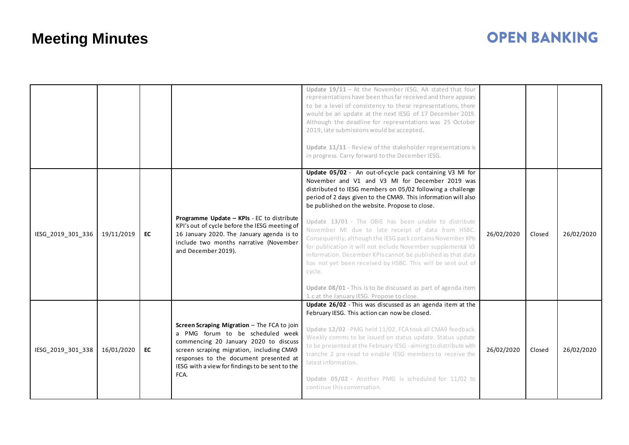|                   |            |           |                                                                                                                                                                                                                                                                            | Update $19/11$ - At the November IESG, AA stated that four<br>representations have been thus far received and there appears<br>to be a level of consistency to these representations, there<br>would be an update at the next IESG of 17 December 2019.<br>Although the deadline for representations was 25 October<br>2019, late submissions would be accepted.<br>Update 11/11 - Review of the stakeholder representations is<br>in progress. Carry forward to the December IESG.<br>Update 05/02 - An out-of-cycle pack containing V3 MI for<br>November and V1 and V3 MI for December 2019 was                                                                                  |            |        |            |
|-------------------|------------|-----------|----------------------------------------------------------------------------------------------------------------------------------------------------------------------------------------------------------------------------------------------------------------------------|-------------------------------------------------------------------------------------------------------------------------------------------------------------------------------------------------------------------------------------------------------------------------------------------------------------------------------------------------------------------------------------------------------------------------------------------------------------------------------------------------------------------------------------------------------------------------------------------------------------------------------------------------------------------------------------|------------|--------|------------|
| IESG_2019_301_336 | 19/11/2019 | <b>EC</b> | Programme Update - KPIs - EC to distribute<br>KPI's out of cycle before the IESG meeting of<br>16 January 2020. The January agenda is to<br>include two months narrative (November<br>and December 2019).                                                                  | distributed to IESG members on 05/02 following a challenge<br>period of 2 days given to the CMA9. This information will also<br>be published on the website. Propose to close.<br>Update 13/01 - The OBIE has been unable to distribute<br>November MI due to late receipt of data from HSBC.<br>Consequently, although the IESG pack contains November KPIs<br>for publication it will not include November supplemental V3<br>information. December KPIs cannot be published as that data<br>has not yet been received by HSBC. This will be sent out of<br>cycle.<br>Update 08/01 - This is to be discussed as part of agenda item<br>1.c at the January IESG. Propose to close. | 26/02/2020 | Closed | 26/02/2020 |
| IESG_2019_301_338 | 16/01/2020 | <b>EC</b> | Screen Scraping Migration - The FCA to join<br>a PMG forum to be scheduled week<br>commencing 20 January 2020 to discuss<br>screen scraping migration, including CMA9<br>responses to the document presented at<br>IESG with a view for findings to be sent to the<br>FCA. | Update 26/02 - This was discussed as an agenda item at the<br>February IESG. This action can now be closed.<br>Update 12/02 - PMG held 11/02. FCA took all CMA9 feedback.<br>Weekly comms to be issued on status update. Status update<br>to be presented at the February IESG - aiming to distribute with<br>tranche 2 pre-read to enable IESG members to receive the<br>latest information.<br>Update 05/02 - Another PMG is scheduled for 11/02 to<br>continue this conversation.                                                                                                                                                                                                | 26/02/2020 | Closed | 26/02/2020 |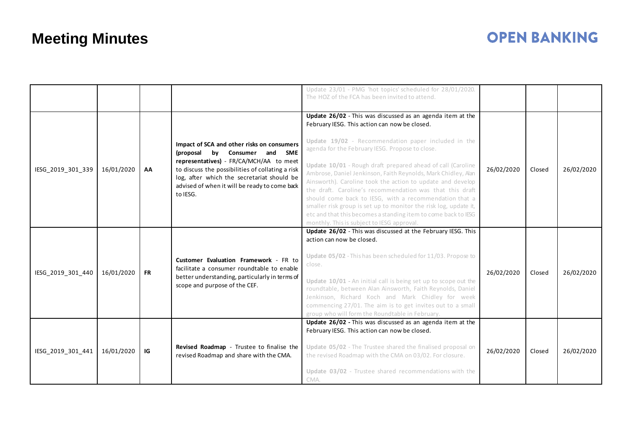|                   |            |           |                                                                                                                                                                                                                                                                                       | Update 23/01 - PMG 'hot topics' scheduled for 28/01/2020.<br>The HOZ of the FCA has been invited to attend.                                                                                                                                                                                                                                                                                                                                                                                                                                                                                                                                                                                                                   |            |        |            |
|-------------------|------------|-----------|---------------------------------------------------------------------------------------------------------------------------------------------------------------------------------------------------------------------------------------------------------------------------------------|-------------------------------------------------------------------------------------------------------------------------------------------------------------------------------------------------------------------------------------------------------------------------------------------------------------------------------------------------------------------------------------------------------------------------------------------------------------------------------------------------------------------------------------------------------------------------------------------------------------------------------------------------------------------------------------------------------------------------------|------------|--------|------------|
| IESG_2019_301_339 | 16/01/2020 | AA        | Impact of SCA and other risks on consumers<br>(proposal by Consumer and SME<br>representatives) - FR/CA/MCH/AA to meet<br>to discuss the possibilities of collating a risk<br>log, after which the secretariat should be<br>advised of when it will be ready to come back<br>to IESG. | Update 26/02 - This was discussed as an agenda item at the<br>February IESG. This action can now be closed.<br>Update 19/02 - Recommendation paper included in the<br>agenda for the February IESG. Propose to close.<br>Update 10/01 - Rough draft prepared ahead of call (Caroline<br>Ambrose, Daniel Jenkinson, Faith Reynolds, Mark Chidley, Alan<br>Ainsworth). Caroline took the action to update and develop<br>the draft. Caroline's recommendation was that this draft<br>should come back to IESG, with a recommendation that a<br>smaller risk group is set up to monitor the risk log, update it,<br>etc and that this becomes a standing item to come back to IESG<br>monthly. This is subject to IESG approval. | 26/02/2020 | Closed | 26/02/2020 |
| IESG_2019_301_440 | 16/01/2020 | <b>FR</b> | Customer Evaluation Framework - FR to<br>facilitate a consumer roundtable to enable<br>better understanding, particularly in terms of<br>scope and purpose of the CEF.                                                                                                                | Update 26/02 - This was discussed at the February IESG. This<br>action can now be closed.<br>Update 05/02 - This has been scheduled for 11/03. Propose to<br>close.<br>Update 10/01 - An initial call is being set up to scope out the<br>roundtable, between Alan Ainsworth, Faith Reynolds, Daniel<br>Jenkinson, Richard Koch and Mark Chidley for week<br>commencing 27/01. The aim is to get invites out to a small<br>group who will form the Roundtable in February.                                                                                                                                                                                                                                                    | 26/02/2020 | Closed | 26/02/2020 |
| IESG 2019 301 441 | 16/01/2020 | IG        | Revised Roadmap - Trustee to finalise the<br>revised Roadmap and share with the CMA.                                                                                                                                                                                                  | Update 26/02 - This was discussed as an agenda item at the<br>February IESG. This action can now be closed.<br>Update 05/02 - The Trustee shared the finalised proposal on<br>the revised Roadmap with the CMA on 03/02. For closure.<br>Update 03/02 - Trustee shared recommendations with the<br>CMA.                                                                                                                                                                                                                                                                                                                                                                                                                       | 26/02/2020 | Closed | 26/02/2020 |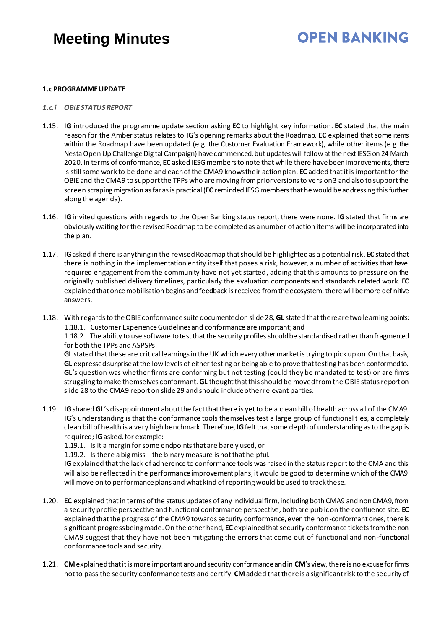## **OPEN BANKING**

### **1.cPROGRAMME UPDATE**

#### *1.c.i OBIE STATUS REPORT*

- 1.15. **IG** introduced the programme update section asking **EC** to highlight key information. **EC** stated that the main reason for the Amber status relates to **IG**'s opening remarks about the Roadmap. **EC** explained that some items within the Roadmap have been updated (e.g. the Customer Evaluation Framework), while other items (e.g. the Nesta Open Up Challenge Digital Campaign) have commenced, but updates will follow at the next IESG on 24 March 2020. In terms of conformance, **EC** asked IESG members to note that while there have been improvements, there is still some work to be done and each of the CMA9 knows their action plan. **EC** added that it is important for the OBIE and the CMA9 to support the TPPs who are moving from prior versions to version 3 and also to support the screen scraping migration as far as is practical (**EC** reminded IESG members that he would be addressing this further along the agenda).
- 1.16. **IG** invited questions with regards to the Open Banking status report, there were none. **IG** stated that firms are obviously waiting for the revisedRoadmap to be completed as a number of action items will be incorporated into the plan.
- 1.17. **IG**asked if there is anything in the revisedRoadmap that should be highlighted as a potential risk. **EC** stated that there is nothing in the implementation entity itself that poses a risk, however, a number of activities that have required engagement from the community have not yet started, adding that this amounts to pressure on the originally published delivery timelines, particularly the evaluation components and standards related work. **EC** explained that once mobilisation begins and feedback is received from the ecosystem, there will be more definitive answers.
- 1.18. With regards to the OBIE conformance suite documented on slide 28, **GL** stated that therearetwo learning points: 1.18.1. Customer Experience Guidelines and conformance are important; and

1.18.2. The ability to use software to test that the security profiles should be standardised rather than fragmented for both the TPPs and ASPSPs.

**GL** stated that these are critical learnings in the UK which every other market is trying to pick up on. On that basis, **GL** expressed surprise at the low levels of either testing or being able to prove that testing has been conformed to. **GL**'s question was whether firms are conforming but not testing (could they be mandated to test) or are firms struggling to make themselves conformant. **GL** thought that this should be moved from the OBIE status report on slide 28 to the CMA9 report on slide 29 and should include other relevant parties.

1.19. **IG**shared **GL**'s disappointment about the fact that there is yet to be a clean bill of health across all of the CMA9. **IG**'s understanding is that the conformance tools themselves test a large group of functionalities, a completely clean bill of health is a very high benchmark. Therefore, **IG**felt that some depth of understanding as to the gap is required; **IG**asked, for example:

1.19.1. Is it a margin for some endpoints that are barely used, or

1.19.2. Is there a big miss – the binary measure is not that helpful.

**IG**explained that the lack of adherence to conformance tools was raised in the status report to the CMA and this will also be reflected in the performance improvement plans, it would be good to determine which of the CMA9 will move on to performance plans and what kind of reporting would be used to track these.

- 1.20. **EC** explained that in terms of the status updates of any individual firm, including both CMA9 and non CMA9, from a security profile perspective and functional conformance perspective, both are public on the confluence site. **EC** explained that the progress of the CMA9 towards security conformance, even the non-conformant ones, there is significant progress being made. On the other hand, **EC** explained that security conformance tickets from the non CMA9 suggest that they have not been mitigating the errors that come out of functional and non-functional conformance tools and security.
- 1.21. **CM**explained that it is more important around security conformance and in **CM**'s view, there is no excuse for firms not to pass the security conformance tests and certify. **CM**added that there is a significant risk to the security of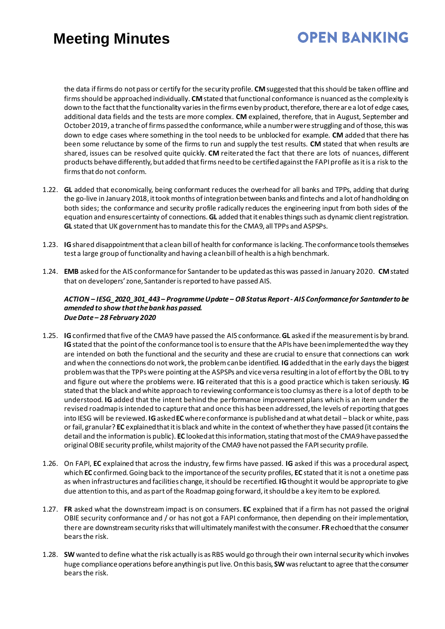# **OPEN BANKING**

the data if firms do not pass or certify for the security profile. **CM**suggested that this should be taken offline and firms should be approached individually. **CM**stated that functional conformance is nuanced as the complexity is down to the fact that the functionality varies in the firms even by product, therefore, there are a lot of edge cases, additional data fields and the tests are more complex. **CM** explained, therefore, that in August, September and October 2019, a tranche of firms passed the conformance, while a number were struggling and of those, this was down to edge cases where something in the tool needs to be unblocked for example. **CM** added that there has been some reluctance by some of the firms to run and supply the test results. **CM** stated that when results are shared, issues can be resolved quite quickly. CM reiterated the fact that there are lots of nuances, different products behave differently, but added that firms need to be certified against the FAPI profile as it is a risk to the firms that do not conform.

- 1.22. **GL** added that economically, being conformant reduces the overhead for all banks and TPPs, adding that during the go-live in January 2018, it took months of integration between banks and fintechs and a lot of handholding on both sides; the conformance and security profile radically reduces the engineering input from both sides of the equation and ensures certainty of connections.**GL** added that it enables things such as dynamic client registration. **GL** stated that UK government has to mandate this for the CMA9, all TPPs and ASPSPs.
- 1.23. **IG**shared disappointment that a clean bill of health for conformance is lacking. The conformance tools themselves test a large group of functionality and having a clean bill of health is a high benchmark.
- 1.24. **EMB** asked for the AIS conformance for Santander to be updated as this was passed in January 2020. **CM**stated that on developers' zone, Santander is reported to have passed AIS.

#### *ACTION – IESG\_2020\_301\_443 – Programme Update – OB Status Report - AIS Conformance for Santander to be amended to show that the bank has passed. Due Date – 28 February 2020*

- 1.25. **IG**confirmed that five of the CMA9 have passed the AIS conformance. **GL** asked if the measurement is by brand. **IG** stated that the point of the conformance tool is to ensure that the APIs have been implemented the way they are intended on both the functional and the security and these are crucial to ensure that connections can work and when the connections do not work, the problem can be identified. **IG**added that in the early days the biggest problem was that the TPPs were pointing at the ASPSPs and vice versa resulting in a lot of effort by the OBL to try and figure out where the problems were. **IG** reiterated that this is a good practice which is taken seriously. **IG** stated that the black and white approach to reviewing conformance is too clumsy as there is a lot of depth to be understood. **IG** added that the intent behind the performance improvement plans which is an item under the revised roadmap is intended to capture that and once this has been addressed, the levels of reporting that goes into IESG will be reviewed. **IG**asked **EC** where conformance is published and at what detail – black or white, pass or fail, granular? **EC** explained that it is black and white in the context of whether they have passed(it contains the detail and the information is public). **EC** looked at this information, stating that most of the CMA9 have passed the original OBIE security profile, whilst majority of the CMA9 have not passed the FAPI security profile.
- 1.26. On FAPI, **EC** explained that across the industry, few firms have passed. **IG** asked if this was a procedural aspect, which **EC** confirmed. Going back to the importance of the security profiles, **EC** stated that it is not a onetime pass as when infrastructures and facilities change, it should be recertified. **IG**thought it would be appropriate to give due attention to this, and as part of the Roadmap going forward, it should be a key item to be explored.
- 1.27. **FR** asked what the downstream impact is on consumers. **EC** explained that if a firm has not passed the original OBIE security conformance and / or has not got a FAPI conformance, then depending on their implementation, there are downstream security risks that will ultimately manifest with the consumer. **FR**echoed that the consumer bears the risk.
- 1.28. **SW** wanted to define what the risk actually is as RBS would go through their own internal security which involves huge compliance operations before anything is put live. On this basis, **SW** was reluctant to agree that the consumer bears the risk.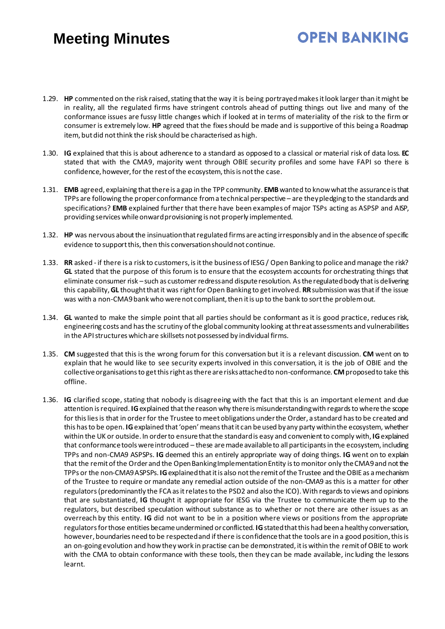- 1.29. **HP** commented on the risk raised, stating that the way it is being portrayed makes it look larger than it might be in reality, all the regulated firms have stringent controls ahead of putting things out live and many of the conformance issues are fussy little changes which if looked at in terms of materiality of the risk to the firm or consumer is extremely low. **HP** agreed that the fixes should be made and is supportive of this being a Roadmap item, but did not think the risk should be characterised as high.
- 1.30. **IG** explained that this is about adherence to a standard as opposed to a classical or material risk of data loss. **EC** stated that with the CMA9, majority went through OBIE security profiles and some have FAPI so there is confidence, however, for the rest of the ecosystem, this is not the case.
- 1.31. **EMB** agreed, explaining that there is a gap in the TPP community. **EMB**wanted to know what the assurance is that TPPs are following the proper conformance from a technical perspective – are they pledging to the standards and specifications? **EMB** explained further that there have been examples of major TSPs acting as ASPSP and AISP, providing services while onward provisioning is not properly implemented.
- 1.32. **HP** was nervous about the insinuation that regulated firms are acting irresponsibly and in the absence of specific evidence to support this, then this conversation should not continue.
- 1.33. **RR** asked if there is a risk to customers, is it the business of IESG / Open Banking to police and manage the risk? **GL** stated that the purpose of this forum is to ensure that the ecosystem accounts for orchestrating things that eliminate consumer risk –such as customer redress and dispute resolution. As the regulated body that is delivering this capability, **GL** thought that it was right for Open Banking to get involved. **RR**submission was that if the issue was with a non-CMA9 bank who were not compliant, then it is up to the bank to sort the problem out.
- 1.34. **GL** wanted to make the simple point that all parties should be conformant as it is good practice, reduces risk, engineering costs and has the scrutiny of the global community looking at threat assessments and vulnerabilities in the API structures which are skillsets not possessed by individual firms.
- 1.35. **CM** suggested that this is the wrong forum for this conversation but it is a relevant discussion. **CM** went on to explain that he would like to see security experts involved in this conversation, it is the job of OBIE and the collective organisations to get this right as there are risks attached to non-conformance. **CM**proposed to take this offline.
- 1.36. **IG** clarified scope, stating that nobody is disagreeing with the fact that this is an important element and due attention is required. **IG**explained that the reason why there is misunderstanding with regards to where the scope for this lies is that in order for the Trustee to meet obligations under the Order, a standard has to be created and this has to be open. **IG**explained that 'open' means that it can be used by any party within the ecosystem, whether within the UK or outside. In order to ensure that the standard is easy and convenient to comply with, **IG**explained that conformance tools were introduced – these are made available to all participants in the ecosystem, including TPPs and non-CMA9 ASPSPs. **IG** deemed this an entirely appropriate way of doing things. **IG** went on to explain that the remit of the Order and the Open Banking Implementation Entity is to monitor only the CMA9 and not the TPPs or the non-CMA9 ASPSPs. **IG**explained that it is also not the remit of the Trustee and the OBIE as a mechanism of the Trustee to require or mandate any remedial action outside of the non-CMA9 as this is a matter for other regulators (predominantly the FCA as it relates to the PSD2 and also the ICO). With regards to views and opinions that are substantiated, **IG** thought it appropriate for IESG via the Trustee to communicate them up to the regulators, but described speculation without substance as to whether or not there are other issues as an overreach by this entity. **IG** did not want to be in a position where views or positions from the appropriate regulators for those entities became undermined or conflicted. **IG**stated that this had been a healthy conversation, however, boundaries need to be respected and if there is confidence that the tools are in a good position, this is an on-going evolution and how they work in practise can be demonstrated, it is within the remit of OBIE to work with the CMA to obtain conformance with these tools, then they can be made available, inc luding the lessons learnt.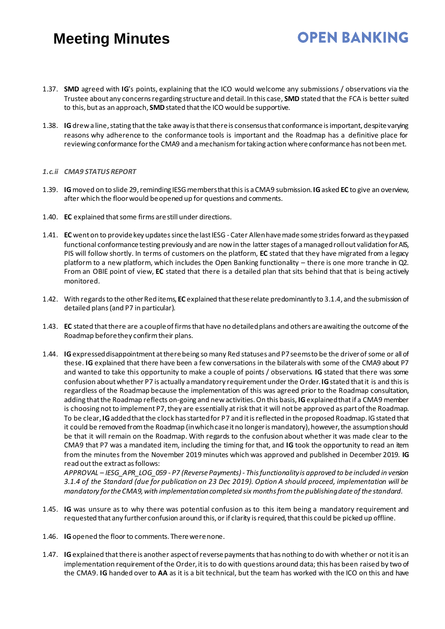1.37. **SMD** agreed with **IG**'s points, explaining that the ICO would welcome any submissions / observations via the Trustee about any concerns regarding structure and detail. In this case, **SMD** stated that the FCA is better suited to this, but as an approach, **SMD**stated that the ICO would be supportive.

**OPEN BANKING** 

1.38. **IG**drew a line, stating that the take away is that there is consensus that conformance is important, despite varying reasons why adherence to the conformance tools is important and the Roadmap has a definitive place for reviewing conformance for the CMA9 and a mechanism for taking action where conformance has not been met.

#### *1.c.ii CMA9 STATUS REPORT*

- 1.39. **IG**moved on to slide 29, reminding IESG members that thisis a CMA9 submission.**IG**asked **EC** to give an overview, after which the floor would be opened up for questions and comments.
- 1.40. **EC** explained that some firms are still under directions.
- 1.41. **EC** went on to provide key updates since the last IESG Cater Allen have made some strides forward as they passed functional conformance testing previously and are now in the latter stages of a managed roll out validation for AIS, PIS will follow shortly. In terms of customers on the platform, **EC** stated that they have migrated from a legacy platform to a new platform, which includes the Open Banking functionality – there is one more tranche in Q2. From an OBIE point of view, **EC** stated that there is a detailed plan that sits behind that that is being actively monitored.
- 1.42. With regards to the other Red items, **EC** explained that these relate predominantly to 3.1.4, and the submission of detailed plans(and P7 in particular).
- 1.43. **EC** stated that there are a couple of firms that have no detailed plans and others are awaiting the outcome of the Roadmap before they confirm their plans.
- 1.44. **IG**expressed disappointment at there being so many Red statuses and P7 seems to be the driver of some or all of these. **IG** explained that there have been a few conversations in the bilaterals with some of the CMA9 about P7 and wanted to take this opportunity to make a couple of points / observations. **IG** stated that there was some confusion about whether P7 is actually a mandatory requirement under the Order. **IG**stated that it is and this is regardless of the Roadmap because the implementation of this was agreed prior to the Roadmap consultation, adding that the Roadmap reflects on-going and new activities. On this basis, **IG**explained that if a CMA9 member is choosing not to implement P7, they are essentially atrisk that it will not be approved as part of the Roadmap. To be clear, **IG**added that the clock has started for P7 and it is reflected in the proposed Roadmap. IG stated that it could be removed from the Roadmap (in which case it no longer is mandatory), however, the assumption should be that it will remain on the Roadmap. With regards to the confusion about whether it was made clear to the CMA9 that P7 was a mandated item, including the timing for that, and **IG** took the opportunity to read an item from the minutes from the November 2019 minutes which was approved and published in December 2019. **IG** read out the extract as follows:

*APPROVAL – IESG\_APR\_LOG\_059 - P7 (Reverse Payments) - This functionality is approved to be included in version 3.1.4 of the Standard (due for publication on 23 Dec 2019). Option A should proceed, implementation will be mandatory for the CMA9, with implementation completed six months from the publishing date of the standard.*

- 1.45. **IG** was unsure as to why there was potential confusion as to this item being a mandatory requirement and requested that any further confusion around this, or if clarity is required, that this could be picked up offline.
- 1.46. **IG**opened the floor to comments. There were none.
- 1.47. **IG**explained that there is another aspect of reverse payments that has nothing to do with whether or not it is an implementation requirement of the Order, it is to do with questions around data; this has been raised by two of the CMA9. **IG** handed over to **AA** as it is a bit technical, but the team has worked with the ICO on this and have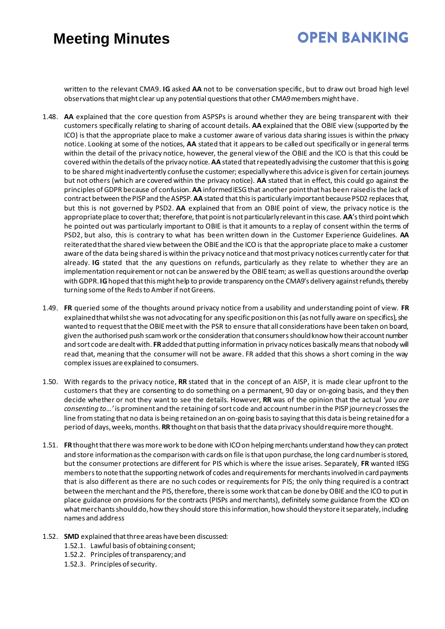# **OPEN BANKING**

written to the relevant CMA9. **IG** asked **AA** not to be conversation specific, but to draw out broad high level observations that might clear up any potential questions that other CMA9 members might have.

- 1.48. **AA** explained that the core question from ASPSPs is around whether they are being transparent with their customers specifically relating to sharing of account details. **AA** explained that the OBIE view (supported by the ICO) is that the appropriate place to make a customer aware of various data sharing issues is within the privacy notice. Looking at some of the notices, **AA** stated that it appears to be called out specifically or in general terms within the detail of the privacy notice, however, the general view of the OBIE and the ICO is that this could be covered within the details of the privacy notice. **AA** stated that repeatedly advising the customer that this is going to be shared might inadvertently confuse the customer; especially where this advice is given for certain journeys but not others (which are covered within the privacy notice). **AA** stated that in effect, this could go against the principles of GDPR because of confusion. **AA** informed IESG that another point that has been raised is the lack of contract between the PISP and the ASPSP. **AA** stated that this is particularly important because PSD2 replaces that, but this is not governed by PSD2. **AA** explained that from an OBIE point of view, the privacy notice is the appropriate place to cover that; therefore, that point is not particularly relevant in this case. **AA**'s third point which he pointed out was particularly important to OBIE is that it amounts to a replay of consent within the terms of PSD2, but also, this is contrary to what has been written down in the Customer Experience Guidelines. **AA** reiterated that the shared view between the OBIE and the ICO is that the appropriate place to make a customer aware of the data being shared is within the privacy notice and that most privacy notices currently cater for that already. **IG** stated that the any questions on refunds, particularly as they relate to whether they are an implementation requirement or not can be answered by the OBIE team; as well as questions around the overlap with GDPR.**IG**hoped that this might help to provide transparency on the CMA9's delivery against refunds, thereby turning some of the Reds to Amber if not Greens.
- 1.49. **FR** queried some of the thoughts around privacy notice from a usability and understanding point of view. **FR** explained that whilst she was not advocating for any specific position on this (as not fully aware on specifics), she wanted to request that the OBIE meet with the PSR to ensure that all considerations have been taken on board, given the authorised push scam work or the consideration that consumers should know how their account number and sort code are dealt with. **FR**added that putting information in privacy notices basically means that nobody will read that, meaning that the consumer will not be aware. FR added that this shows a short coming in the way complex issues are explained to consumers.
- 1.50. With regards to the privacy notice, **RR** stated that in the concept of an AISP, it is made clear upfront to the customers that they are consenting to do something on a permanent, 90 day or on-going basis, and they then decide whether or not they want to see the details. However, **RR** was of the opinion that the actual *'you are consenting to...'* is prominent and the retaining of sort code and account number in the PISP journey crosses the line from stating that no data is being retainedon an on-going basis to saying that this data is being retained for a period of days, weeks, months. **RR**thought on that basis that the data privacy should require more thought.
- 1.51. **FR**thought that there was more work to be done with ICO on helping merchants understand how they can protect and store information as the comparison with cards on file is that upon purchase, the long card number is stored, but the consumer protections are different for PIS which is where the issue arises. Separately, **FR** wanted IESG members to note that the supporting network of codes and requirements for merchants involved in card payments that is also different as there are no such codes or requirements for PIS; the only thing required is a contract between the merchant and the PIS, therefore, there is some work that can be done by OBIE and the ICO to put in place guidance on provisions for the contracts (PISPs and merchants), definitely some guidance from the ICO on what merchants should do, how they should store this information, how should they store it separately, including names and address
- 1.52. **SMD** explained that three areas have been discussed:
	- 1.52.1. Lawful basis of obtaining consent;
	- 1.52.2. Principles of transparency; and
	- 1.52.3. Principles of security.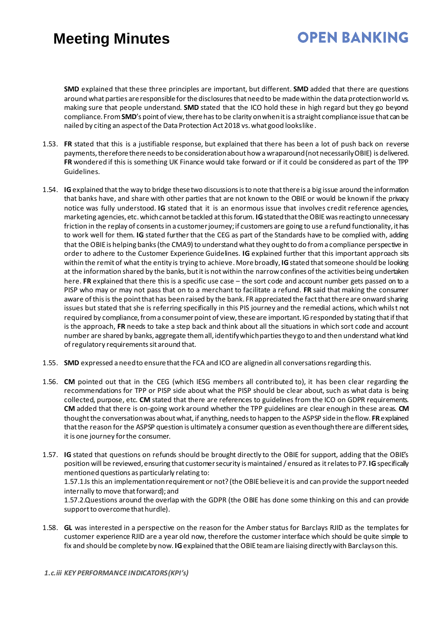# **OPEN BANKING**

**SMD** explained that these three principles are important, but different. **SMD** added that there are questions around what parties are responsible for the disclosures that need to be made within the data protection world vs. making sure that people understand. **SMD** stated that the ICO hold these in high regard but they go beyond compliance. From **SMD**'s point of view, there has to be clarity on when it is a straight compliance issue that can be nailed by citing an aspect of the Data Protection Act 2018 vs. what good looks like.

- 1.53. **FR** stated that this is a justifiable response, but explained that there has been a lot of push back on reverse payments, therefore there needs to be consideration about how a wraparound (not necessarily OBIE) is delivered. **FR** wondered if this is something UK Finance would take forward or if it could be considered as part of the TPP Guidelines.
- 1.54. **IG**explained that the way to bridge these two discussions is to note that there is a big issue around the information that banks have, and share with other parties that are not known to the OBIE or would be known if the privacy notice was fully understood. **IG** stated that it is an enormous issue that involves credit reference agencies, marketing agencies, etc. which cannot be tackled at this forum. **IG**stated that the OBIE wasreacting to unnecessary friction in the replay of consentsin a customer journey; if customers are going to use a refund functionality, it has to work well for them. **IG** stated further that the CEG as part of the Standards have to be complied with, adding that the OBIE is helping banks (the CMA9) to understand what they ought to do from a compliance perspective in order to adhere to the Customer Experience Guidelines. **IG** explained further that this important approach sits within the remit of what the entity is trying to achieve. More broadly, **IG**stated that someone should be looking at the information shared by the banks, but it is not within the narrow confines of the activities being undertaken here. **FR** explained that there this is a specific use case – the sort code and account number gets passed on to a PISP who may or may not pass that on to a merchant to facilitate a refund. **FR** said that making the consumer aware of this is the point that has been raised by the bank. FR appreciated the fact that there are onward sharing issues but stated that she is referring specifically in this PIS journey and the remedial actions, which whilst not required by compliance, from a consumer point of view, these are important. IG responded by stating that if that is the approach, **FR** needs to take a step back and think about all the situations in which sort code and account number are shared by banks, aggregate them all, identify which parties they go to and then understand what kind of regulatory requirements sit around that.
- 1.55. **SMD** expressed a need to ensure that the FCA and ICO are aligned in all conversations regarding this.
- 1.56. **CM** pointed out that in the CEG (which IESG members all contributed to), it has been clear regarding the recommendations for TPP or PISP side about what the PISP should be clear about, such as what data is being collected, purpose, etc. **CM** stated that there are references to guidelines from the ICO on GDPR requirements. **CM** added that there is on-going work around whether the TPP guidelines are clear enough in these areas. **CM** thought the conversation was about what, if anything, needs to happen to the ASPSP side in the flow. **FR**explained that the reason for the ASPSP question is ultimately a consumer question as even though there are different sides, it is one journey for the consumer.
- 1.57. **IG** stated that questions on refunds should be brought directly to the OBIE for support, adding that the OBIE's position will be reviewed, ensuring that customer security is maintained / ensured as it relates to P7. **IG**specifically mentioned questions as particularly relating to: 1.57.1.Is this an implementation requirement or not? (the OBIE believe it is and can provide the support needed

internally to move that forward); and

1.57.2.Questions around the overlap with the GDPR (the OBIE has done some thinking on this and can provide support to overcome that hurdle).

1.58. **GL** was interested in a perspective on the reason for the Amber status for Barclays RJID as the templates for customer experience RJID are a year old now, therefore the customer interface which should be quite simple to fix and should be complete by now. **IG**explained that the OBIE team are liaising directly with Barclays on this.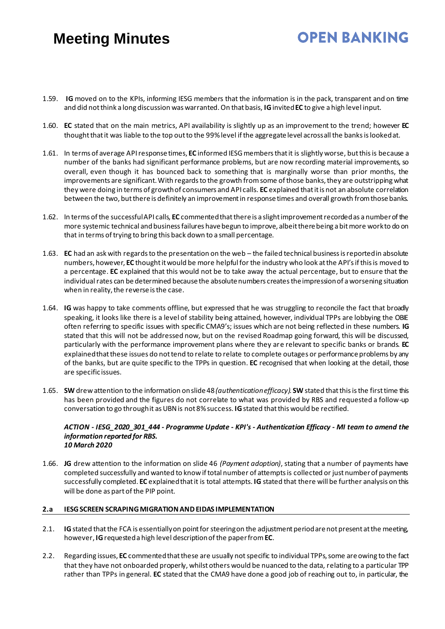1.59. **IG** moved on to the KPIs, informing IESG members that the information is in the pack, transparent and on time and did not think a long discussion was warranted. On that basis, **IG**invited **EC** to give a high level input.

**OPEN BANKING** 

- 1.60. **EC** stated that on the main metrics, API availability is slightly up as an improvement to the trend; however **EC** thought that it was liable to the top out to the 99% level if the aggregate level across all the banks is looked at.
- 1.61. In terms of average APIresponse times, **EC** informed IESG members that it is slightly worse, but this is because a number of the banks had significant performance problems, but are now recording material improvements, so overall, even though it has bounced back to something that is marginally worse than prior months, the improvements are significant. With regards to the growth from some of those banks, they are outstripping what they were doing in terms of growth of consumers and API calls. **EC** explained that it is not an absolute correlation between the two, but there is definitely an improvement in response times and overall growth from those banks.
- 1.62. In terms of the successful API calls, **EC** commented that there is a slight improvement recorded as a number of the more systemic technical and business failures have begun to improve, albeit there being a bit more work to do on that in terms of trying to bring this back down to a small percentage.
- 1.63. **EC** had an ask with regards to the presentation on the web the failed technical business is reported in absolute numbers, however, **EC** thought it would be more helpful for the industry who look at the API's if this is moved to a percentage. **EC** explained that this would not be to take away the actual percentage, but to ensure that the individual rates can be determined because the absolute numbers creates the impression of a worsening situation when in reality, the reverse is the case.
- 1.64. **IG** was happy to take comments offline, but expressed that he was struggling to reconcile the fact that broadly speaking, it looks like there is a level of stability being attained, however, individual TPPs are lobbying the OBIE often referring to specific issues with specific CMA9's; issues which are not being reflected in these numbers. **IG** stated that this will not be addressed now, but on the revised Roadmap going forward, this will be discussed, particularly with the performance improvement plans where they are relevant to specific banks or brands. **EC** explained that these issues do not tend to relate to relate to complete outages or performance problems by any of the banks, but are quite specific to the TPPs in question. **EC** recognised that when looking at the detail, those are specific issues.
- 1.65. **SW** drew attention to the information on slide 48*(authentication efficacy).* **SW** stated that this is the first time this has been provided and the figures do not correlate to what was provided by RBS and requested a follow-up conversation to go through it as UBN is not 8% success. **IG**stated that this would be rectified.

#### *ACTION - IESG\_2020\_301\_444 - Programme Update - KPI's - Authentication Efficacy - MI team to amend the information reported for RBS. 10 March 2020*

1.66. **JG** drew attention to the information on slide 46 *(Payment adoption)*, stating that a number of payments have completed successfully and wanted to know if total number of attempts is collected or just number of payments successfully completed. **EC** explained that it is total attempts. **IG** stated that there will be further analysis on this will be done as part of the PIP point.

### **2.a IESG SCREEN SCRAPING MIGRATION AND EIDAS IMPLEMENTATION**

- 2.1. **IG** stated that the FCA is essentially on point for steering on the adjustment period are not present at the meeting, however, **IG**requested a high level descriptionof the paper from **EC**.
- 2.2. Regarding issues, **EC** commented that these are usually not specific to individual TPPs, some are owing to the fact that they have not onboarded properly, whilst others would be nuanced to the data, relating to a particular TPP rather than TPPs in general. **EC** stated that the CMA9 have done a good job of reaching out to, in particular, the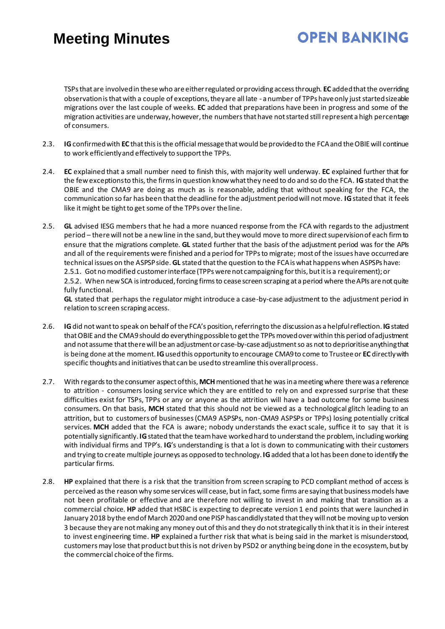# **OPEN BANKING**

TSPs that are involved in these who are either regulated or providing access through. **EC** added that the overriding observation is that with a couple of exceptions, they are all late - a number of TPPs have only just started sizeable migrations over the last couple of weeks. **EC** added that preparations have been in progress and some of the migration activities are underway, however, the numbersthat have not started still represent a high percentage of consumers.

- 2.3. **IG**confirmed with **EC** that this is the official message that would be provided to the FCA and the OBIE will continue to work efficiently and effectively to support the TPPs.
- 2.4. **EC** explained that a small number need to finish this, with majority well underway. **EC** explained further that for the few exceptions to this, the firms in question know what they need to do and so do the FCA. **IG**stated that the OBIE and the CMA9 are doing as much as is reasonable, adding that without speaking for the FCA, the communication so far has been that the deadline for the adjustment period will not move. **IG**stated that it feels like it might be tight to get some of the TPPs over the line.
- 2.5. **GL** advised IESG members that he had a more nuanced response from the FCA with regards to the adjustment period – there will not be a new line in the sand, but they would move to more direct supervision of each firm to ensure that the migrations complete. **GL** stated further that the basis of the adjustment period was for the APIs and all of the requirements were finished and a period for TPPs to migrate; most of the issues have occurred are technical issues on the ASPSP side. **GL** stated that the question to the FCA is what happens when ASPSPs have: 2.5.1. Got no modified customer interface (TPPs were not campaigning for this, but it is a requirement); or 2.5.2. When new SCA is introduced, forcing firms to cease screen scraping at a period where the APIs are not quite fully functional.

**GL** stated that perhaps the regulator might introduce a case-by-case adjustment to the adjustment period in relation to screen scraping access.

- 2.6. **IG**did not want to speak on behalf of the FCA's position, referring to the discussion as a helpful reflection. **IG**stated that OBIE and the CMA9 should do everything possible to get the TPPs moved over within this period of adjustment and not assume that there will be an adjustment or case-by-case adjustmentso as not to deprioritise anything that is being done at the moment. **IG**used this opportunity to encourage CMA9 to come to Trustee or **EC** directlywith specific thoughts and initiatives that can be used to streamline this overall process.
- 2.7. With regards to the consumer aspect of this, **MCH**mentioned that he was in a meeting where there was a reference to attrition - consumers losing service which they are entitled to rely on and expressed surprise that these difficulties exist for TSPs, TPPs or any or anyone as the attrition will have a bad outcome for some business consumers. On that basis, **MCH** stated that this should not be viewed as a technological glitch leading to an attrition, but to customers of businesses (CMA9 ASPSPs, non-CMA9 ASPSPs or TPPs) losing potentially critical services. **MCH** added that the FCA is aware; nobody understands the exact scale, suffice it to say that it is potentially significantly.**IG**stated that the team have worked hard to understand the problem, including working with individual firms and TPP's. **IG**'s understanding is that a lot is down to communicating with their customers and trying to create multiple journeys as opposed to technology. **IG**added that a lot has been done to identify the particular firms.
- 2.8. **HP** explained that there is a risk that the transition from screen scraping to PCD compliant method of access is perceived as the reason why some services will cease, but in fact, some firms are saying that business models have not been profitable or effective and are therefore not willing to invest in and making that transition as a commercial choice. **HP** added that HSBC is expecting to deprecate version 1 end points that were launched in January 2018 by the end of March 2020 and one PISP has candidly stated that they will not be moving up to version 3 because they are not making any money out of this and they do not strategically think that it is in their interest to invest engineering time. **HP** explained a further risk that what is being said in the market is misunderstood, customers may lose that product but this is not driven by PSD2 or anything being done in the ecosystem, but by the commercial choice of the firms.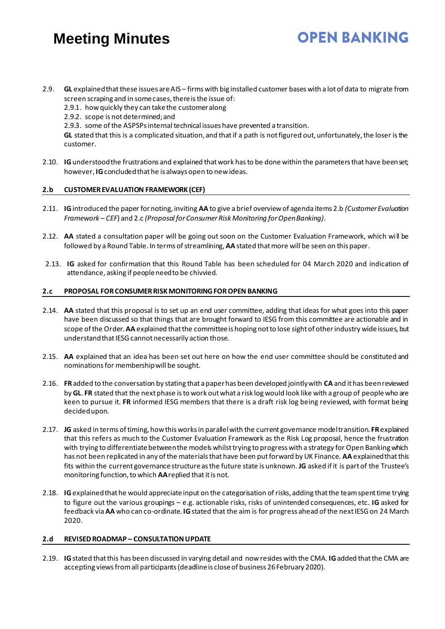- 2.9. **GL** explained that these issues are AIS firms with big installed customer bases with a lot of data to migrate from screen scraping and in some cases, there is the issue of:
	- 2.9.1. how quickly they can take the customer along
	- 2.9.2. scope is not determined; and
	- 2.9.3. some of the ASPSPsinternal technical issues have prevented a transition.

**GL** stated that this is a complicated situation, and that if a path is not figured out, unfortunately, the loser is the customer.

**OPEN BANKING** 

2.10. **IG**understood the frustrations and explained that work has to be done within the parameters that have been set; however, **IG**concluded that he is always open to new ideas.

### **2.b CUSTOMER EVALUATION FRAMEWORK (CEF)**

- 2.11. **IG** introduced the paper for noting, inviting **AA** to give a brief overview of agenda items 2.b *(Customer Evaluation Framework – CEF*) and 2.c *(Proposal for Consumer Risk Monitoring for Open Banking)*.
- 2.12. **AA** stated a consultation paper will be going out soon on the Customer Evaluation Framework, which will be followed by a Round Table. In terms of streamlining, **AA** stated that more will be seen on this paper.
- 2.13. **IG** asked for confirmation that this Round Table has been scheduled for 04 March 2020 and indication of attendance, asking if people need to be chivvied.

#### **2.c PROPOSAL FOR CONSUMER RISK MONITORING FOR OPEN BANKING**

- 2.14. **AA** stated that this proposal is to set up an end user committee, adding that ideas for what goes into this paper have been discussed so that things that are brought forward to IESG from this committee are actionable and in scope of the Order. **AA** explained that the committee is hoping not to lose sight of other industry wideissues, but understand that IESG cannot necessarily action those.
- 2.15. **AA** explained that an idea has been set out here on how the end user committee should be constituted and nominations for membership will be sought.
- 2.16. **FR**added to the conversation by stating that a paper has been developed jointly with **CA** and it has been reviewed by **GL**. **FR** stated that the next phase is to work out what a risk log would look like with a group of people who are keen to pursue it. **FR** informed IESG members that there is a draft risk log being reviewed, with format being decided upon.
- 2.17. **JG** asked in terms of timing, how this works in parallelwith the current governance model transition. **FR**explained that this refers as much to the Customer Evaluation Framework as the Risk Log proposal, hence the frustration with trying to differentiate between the models whilst trying to progress with a strategy for Open Banking which has not been replicated in any of the materials that have been put forward by UK Finance. **AA** explainedthat this fits within the current governance structure as the future state is unknown. **JG** asked if it is part of the Trustee's monitoring function, to which **AA**replied that it is not.
- 2.18. **IG**explained that he would appreciate input on the categorisation of risks, adding that the team spent time trying to figure out the various groupings – e.g. actionable risks, risks of unintended consequences, etc. **IG** asked for feedback via **AA** who can co-ordinate. **IG**stated that the aim is for progress ahead of the next IESG on 24 March 2020.

### **2.d REVISED ROADMAP – CONSULTATION UPDATE**

2.19. **IG**stated that this has been discussed in varying detail and now resides with the CMA. **IG**added that the CMA are accepting views from all participants (deadline is close of business 26 February 2020).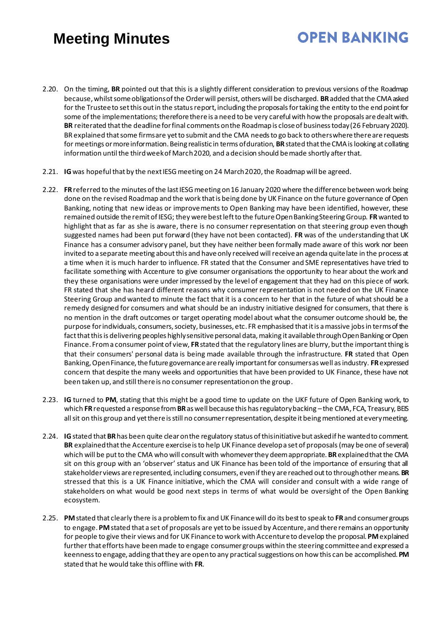2.20. On the timing, **BR** pointed out that this is a slightly different consideration to previous versions of the Roadmap because, whilst some obligations of the Order will persist, others will be discharged. **BR**added that the CMA asked for the Trustee to set this out in the status report, including the proposals for taking the entity to the end point for some of the implementations; therefore there is a need to be very careful with how the proposals are dealt with. **BR** reiterated that the deadlinefor final comments on the Roadmap is close of business today (26 February 2020). BR explained that some firms are yet to submit and the CMA needsto go back to others where there are requests for meetings or more information. Being realistic in terms of duration, **BR**stated that the CMA is looking at collating information until the third week of March 2020, and a decision should be made shortly after that.

- 2.21. **IG**was hopeful that by the next IESG meeting on 24 March 2020, the Roadmap will be agreed.
- 2.22. **FR**referred to the minutes of the last IESG meeting on 16 January 2020 where the difference between work being done on the revised Roadmap and the work that is being done by UK Finance on the future governance of Open Banking, noting that new ideas or improvements to Open Banking may have been identified, however, these remained outside the remit of IESG; they were best left to the future Open Banking Steering Group. **FR**wanted to highlight that as far as she is aware, there is no consumer representation on that steering group even though suggested names had been put forward (they have not been contacted). **FR** was of the understanding that UK Finance has a consumer advisory panel, but they have neither been formally made aware of this work nor been invited to a separate meeting about this and have only received will receive an agenda quite late in the process at a time when it is much harder to influence. FR stated that the Consumer and SME representatives have tried to facilitate something with Accenture to give consumer organisations the opportunity to hear about the work and they these organisations were under impressed by the level of engagement that they had on this piece of work. FR stated that she has heard different reasons why consumer representation is not needed on the UK Finance Steering Group and wanted to minute the fact that it is a concern to her that in the future of what should be a remedy designed for consumers and what should be an industry initiative designed for consumers, that there is no mention in the draft outcomes or target operating model about what the consumer outcome should be, the purpose for individuals, consumers, society, businesses, etc. FR emphasised that it is a massive jobs in terms of the fact that this is delivering peoples highly sensitive personal data, making it available through Open Banking or Open Finance. From a consumer point of view, **FR**stated that the regulatory lines are blurry, but the important thing is that their consumers' personal data is being made available through the infrastructure. **FR** stated that Open Banking, Open Finance, the future governance are really important for consumers as well as industry. **FR**expressed concern that despite the many weeks and opportunities that have been provided to UK Finance, these have not been taken up, and still there is no consumer representation on the group.
- 2.23. **IG** turned to **PM**, stating that this might be a good time to update on the UKF future of Open Banking work, to which **FR**requested a response from **BR**as well because this has regulatory backing –the CMA, FCA, Treasury, BEIS all sit on this group and yet there is still no consumer representation, despite it being mentioned at every meeting.
- 2.24. **IG**stated that **BR**has been quite clear on the regulatory status of this initiative but asked if he wanted to comment. **BR** explained that the Accenture exercise is to help UK Finance develop a set of proposals(may be one of several) which will be put to the CMA who will consult with whomever they deem appropriate. **BR**explained that the CMA sit on this group with an 'observer' status and UK Finance has been told of the importance of ensuring that all stakeholder views are represented, including consumers, even if they are reached out to through other means. **BR** stressed that this is a UK Finance initiative, which the CMA will consider and consult with a wide range of stakeholders on what would be good next steps in terms of what would be oversight of the Open Banking ecosystem.
- 2.25. **PM**stated that clearly there is a problem to fix and UK Finance will do its best to speak to **FR**and consumer groups to engage. **PM**stated that a set of proposals are yet to be issued by Accenture, and there remains an opportunity for people to give their views and for UK Finance to work with Accenture to develop the proposal. **PM**explained further that efforts have been made to engage consumer groups within the steering committee and expressed a keenness to engage, adding that they are open to any practicalsuggestions on how this can be accomplished. **PM** stated that he would take this offline with **FR**.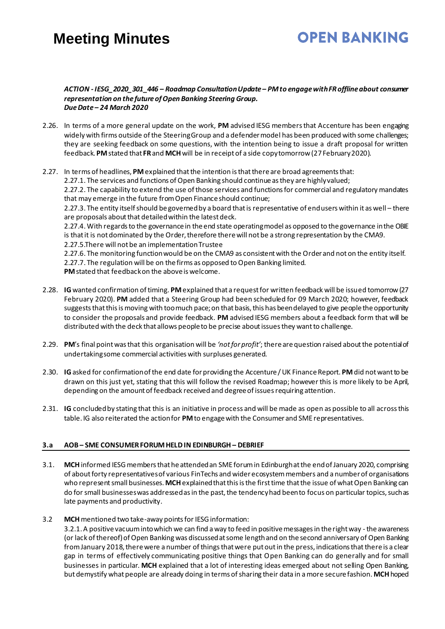# **OPEN BANKING**

#### *ACTION - IESG\_2020\_301\_446 – Roadmap Consultation Update – PM to engage with FR offline about consumer representation on the future of Open Banking Steering Group. Due Date – 24 March 2020*

- 2.26. In terms of a more general update on the work, **PM** advised IESG members that Accenture has been engaging widely with firms outside of the Steering Group and a defender model has been produced with some challenges; they are seeking feedback on some questions, with the intention being to issue a draft proposal for written feedback. **PM**stated that **FR**and **MCH**will be in receipt of a side copy tomorrow (27 February 2020).
- 2.27. In terms of headlines, **PM**explained that the intention is that there are broad agreements that: 2.27.1. The services and functions of Open Banking should continue as they are highly valued; 2.27.2. The capability to extend the use of those services and functions for commercial and regulatory mandates that may emerge in the future from Open Finance should continue; 2.27.3. The entity itself should be governed by a board that is representative of end users within it as well – there are proposals about that detailed within the latest deck. 2.27.4.With regards to the governance in the end state operating model as opposed to the governance in the OBIE is that it is not dominated by the Order, therefore there will not be a strong representation by the CMA9. 2.27.5.There will not be an implementation Trustee 2.27.6. The monitoring function would be on the CMA9 as consistent with the Order and not on the entity itself. 2.27.7. The regulation will be on the firms as opposed to Open Banking limited. **PM**stated that feedback on the above is welcome.
- 2.28. **IG**wanted confirmation of timing. **PM**explained that a request for written feedback will be issued tomorrow (27 February 2020). **PM** added that a Steering Group had been scheduled for 09 March 2020; however, feedback suggests that this is moving with too much pace; on that basis, this has been delayed to give people the opportunity to consider the proposals and provide feedback. **PM** advised IESG members about a feedback form that will be distributed with the deck that allows people to be precise about issues they want to challenge.
- 2.29. **PM**'s final point was that this organisation will be *'not for profit'*; there are question raised about the potential of undertaking some commercial activities with surpluses generated.
- 2.30. **IG**asked for confirmation of the end date for providing the Accenture / UK Finance Report. **PM**did not want to be drawn on this just yet, stating that this will follow the revised Roadmap; however this is more likely to be April, depending on the amount of feedback received and degree of issues requiring attention.
- 2.31. **IG** concluded by stating that this is an initiative in process and will be made as open as possible to all across this table. IG also reiterated the action for **PM**to engage with the Consumer and SME representatives.

### **3.a AOB – SME CONSUMER FORUM HELD IN EDINBURGH – DEBRIEF**

- 3.1. **MCH**informed IESG members that he attended an SME forum in Edinburgh at the end of January 2020, comprising of about forty representatives of various FinTechs and wider ecosystemmembers and a number of organisations who represent small businesses. MCH explained that this is the first time that the issue of what Open Banking can do for small businesses was addressed as in the past, the tendency had been to focus on particular topics, such as late payments and productivity.
- 3.2 **MCH**mentioned two take-away points for IESG information:

3.2.1.A positive vacuuminto which we can find a way to feed in positive messages in the right way -the awareness (or lack of thereof)of Open Banking was discussed at some lengthand on the second anniversary of Open Banking from January 2018, there were a number of things that were put outin the press, indications that there is a clear gap in terms of effectively communicating positive things that Open Banking can do generally and for small businesses in particular. **MCH** explained that a lot of interesting ideas emerged about not selling Open Banking, but demystify what people are already doing in terms of sharing their data in a more secure fashion. **MCH**hoped